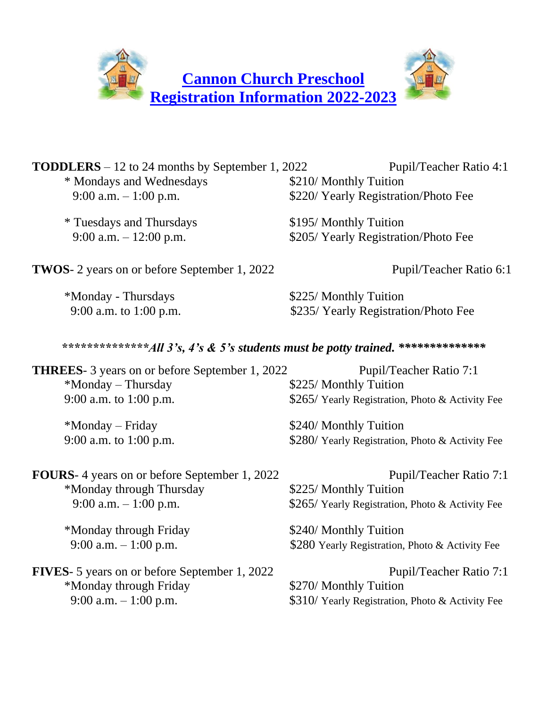

| <b>TODDLERS</b> $-12$ to 24 months by September 1, 2022<br>* Mondays and Wednesdays | Pupil/Teacher Ratio 4:1<br>\$210/ Monthly Tuition |
|-------------------------------------------------------------------------------------|---------------------------------------------------|
| 9:00 a.m. $-1:00$ p.m.                                                              | \$220/ Yearly Registration/Photo Fee              |
| * Tuesdays and Thursdays                                                            | \$195/ Monthly Tuition                            |
| 9:00 a.m. $-12:00$ p.m.                                                             | \$205/ Yearly Registration/Photo Fee              |
| <b>TWOS</b> -2 years on or before September 1, 2022                                 | Pupil/Teacher Ratio 6:1                           |
| *Monday - Thursdays                                                                 | \$225/ Monthly Tuition                            |
| 9:00 a.m. to 1:00 p.m.                                                              | \$235/ Yearly Registration/Photo Fee              |
| ***************All 3's, 4's & 5's students must be potty trained. ***************   |                                                   |
| <b>THREES-</b> 3 years on or before September 1, 2022                               | Pupil/Teacher Ratio 7:1                           |
| *Monday - Thursday                                                                  | \$225/ Monthly Tuition                            |
| 9:00 a.m. to 1:00 p.m.                                                              | \$265/ Yearly Registration, Photo & Activity Fee  |
| *Monday - Friday                                                                    | \$240/ Monthly Tuition                            |
| 9:00 a.m. to 1:00 p.m.                                                              | \$280/ Yearly Registration, Photo & Activity Fee  |
| <b>FOURS</b> -4 years on or before September 1, 2022                                | Pupil/Teacher Ratio 7:1                           |
| *Monday through Thursday                                                            | \$225/ Monthly Tuition                            |
| 9:00 a.m. $-1:00$ p.m.                                                              | \$265/ Yearly Registration, Photo & Activity Fee  |
| *Monday through Friday                                                              | \$240/ Monthly Tuition                            |
| 9:00 a.m. $-1:00$ p.m.                                                              | \$280 Yearly Registration, Photo & Activity Fee   |
| <b>FIVES</b> - 5 years on or before September 1, 2022                               | Pupil/Teacher Ratio 7:1                           |
| *Monday through Friday                                                              | \$270/ Monthly Tuition                            |
| 9:00 a.m. $-1:00$ p.m.                                                              | \$310/ Yearly Registration, Photo & Activity Fee  |
|                                                                                     |                                                   |